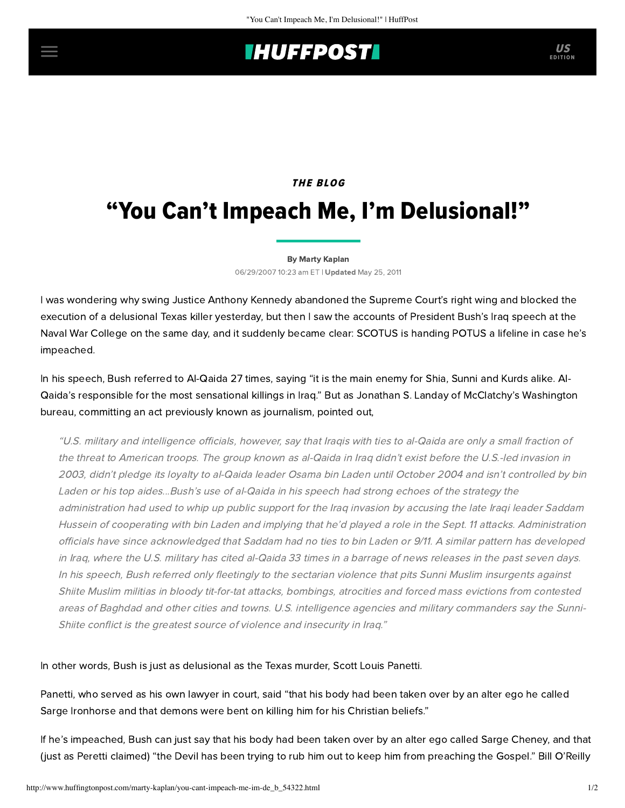# **INUFFPOSTI** US

## THE BLOG "You Can't Impeach Me, I'm Delusional!"

#### [By Marty Kaplan](http://www.huffingtonpost.com/author/marty-kaplan)

06/29/2007 10:23 am ET | Updated May 25, 2011

I was wondering why swing Justice Anthony Kennedy abandoned the Supreme Court's right wing and blocked the execution of a delusional Texas killer yesterday, but then I saw the accounts of President Bush's Iraq [speech](http://www.spokesmanreview.com/nation_world/story.asp?ID=197224) at the Naval War College on the same day, and it suddenly became clear: SCOTUS is handing POTUS a lifeline in case he's impeached.

In his speech, Bush referred to Al-Qaida 27 times, saying "it is the main enemy for Shia, Sunni and Kurds alike. Al-Qaida's responsible for the most sensational killings in Iraq." But as Jonathan S. Landay of McClatchy's Washington bureau, committing an act previously known as journalism, pointed out,

"U.S. military and intelligence officials, however, say that Iraqis with ties to al-Qaida are only a small fraction of the threat to American troops. The group known as al-Qaida in Iraq didn't exist before the U.S.-led invasion in 2003, didn't pledge its loyalty to al-Qaida leader Osama bin Laden until October 2004 and isn't controlled by bin Laden or his top aides...Bush's use of al-Qaida in his speech had strong echoes of the strategy the administration had used to whip up public support for the Iraq invasion by accusing the late Iraqi leader Saddam Hussein of cooperating with bin Laden and implying that he'd played a role in the Sept. 11 attacks. Administration officials have since acknowledged that Saddam had no ties to bin Laden or 9/11. A similar pattern has developed in Iraq, where the U.S. military has cited al-Qaida 33 times in a barrage of news releases in the past seven days. In his speech, Bush referred only fleetingly to the sectarian violence that pits Sunni Muslim insurgents against Shiite Muslim militias in bloody tit-for-tat attacks, bombings, atrocities and forced mass evictions from contested areas of Baghdad and other cities and towns. U.S. intelligence agencies and military commanders say the Sunni-Shiite conflict is the greatest source of violence and insecurity in Iraq."

In other words, Bush is just as delusional as the Texas murder, Scott Louis Panetti.

Panetti, who served as his own lawyer in court, [said](http://www.nytimes.com/2007/06/29/washington/29execution.html) "that his body had been taken over by an alter ego he called Sarge Ironhorse and that demons were bent on killing him for his Christian beliefs."

If he's impeached, Bush can just say that his body had been taken over by an alter ego called Sarge Cheney, and that (just as Peretti claimed) "the Devil has been trying to rub him out to keep him from preaching the Gospel." Bill O'Reilly